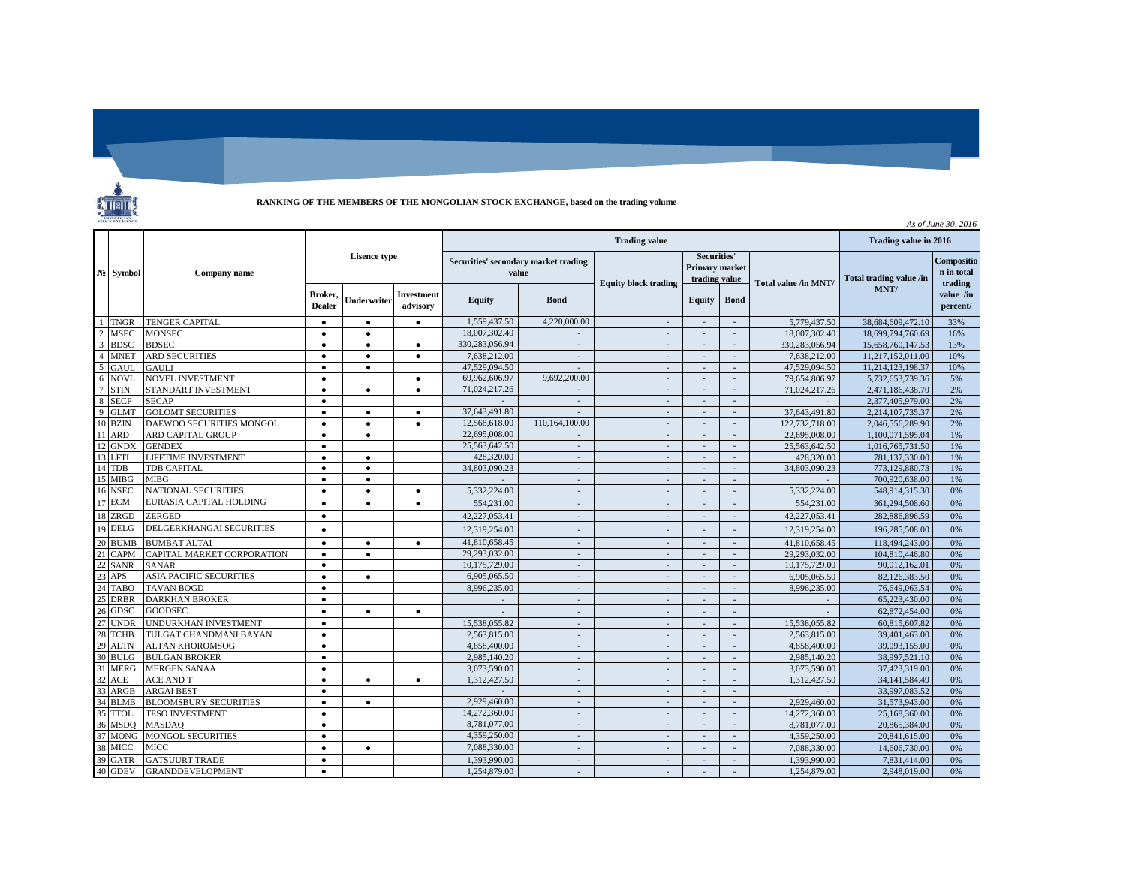

**RANKING OF THE MEMBERS OF THE MONGOLIAN STOCK EXCHANGE, based on the trading volume**

| As of June 30, 2016 |             |                                |                     |             |                        |                                               |                          |                             |                                                |                          |                      |                         |                                     |
|---------------------|-------------|--------------------------------|---------------------|-------------|------------------------|-----------------------------------------------|--------------------------|-----------------------------|------------------------------------------------|--------------------------|----------------------|-------------------------|-------------------------------------|
| $N_2$               | Symbol      | Company name                   |                     |             |                        |                                               |                          | Trading value in 2016       |                                                |                          |                      |                         |                                     |
|                     |             |                                | <b>Lisence type</b> |             |                        | Securities' secondary market trading<br>value |                          | <b>Equity block trading</b> | Securities'<br>Primary market<br>trading value |                          | Total value /in MNT/ | Total trading value /in | Compositio<br>n in total<br>trading |
|                     |             |                                | Broker,<br>Dealer   | Jnderwriter | Investment<br>advisory | Equity                                        | <b>Bond</b>              |                             | Equity                                         | <b>Bond</b>              |                      | MNT/                    | value /in<br>percent/               |
|                     | <b>TNGR</b> | <b>TENGER CAPITAL</b>          | $\bullet$           | $\bullet$   | $\bullet$              | 1.559,437.50                                  | 4.220.000.00             | $\sim$                      | $\sim$                                         | $\sim$                   | 5,779,437.50         | 38,684,609,472.10       | 33%                                 |
| $\overline{2}$      | <b>MSEC</b> | <b>MONSEC</b>                  | $\bullet$           | $\bullet$   |                        | 18,007,302.40                                 |                          | $\overline{a}$              |                                                |                          | 18,007,302.40        | 18,699,794,760.69       | 16%                                 |
| $\overline{3}$      | <b>BDSC</b> | <b>BDSEC</b>                   | $\bullet$           | $\bullet$   | $\bullet$              | 330,283,056.94                                | $\sim$                   | $\sim$                      | $\sim$                                         | $\sim$                   | 330,283,056.94       | 15,658,760,147.53       | 13%                                 |
| $\overline{A}$      | <b>MNET</b> | <b>ARD SECURITIES</b>          | $\bullet$           | $\bullet$   | $\bullet$              | 7,638,212.00                                  | $\overline{\phantom{a}}$ | $\sim$                      | $\overline{\phantom{a}}$                       | $\overline{\phantom{a}}$ | 7,638,212.00         | 11,217,152,011.00       | 10%                                 |
| 5                   | GAUL.       | <b>GAULI</b>                   | $\bullet$           | $\bullet$   |                        | 47,529,094.50                                 | $\sim$                   | $\sim$                      | $\sim$                                         | $\sim$                   | 47,529,094.50        | 11.214.123.198.37       | 10%                                 |
| 6                   | <b>NOVL</b> | <b>NOVEL INVESTMENT</b>        | $\bullet$           |             | $\bullet$              | 69,962,606.97                                 | 9,692,200.00             | $\sim$                      | $\overline{a}$                                 | $\overline{\phantom{a}}$ | 79,654,806.97        | 5,732,653,739.36        | 5%                                  |
| $7\phantom{.0}$     | <b>STIN</b> | STANDART INVESTMENT            | $\bullet$           | $\bullet$   | $\bullet$              | 71.024.217.26                                 |                          | $\sim$                      | $\sim$                                         | $\sim$                   | 71.024.217.26        | 2,471,186,438.70        | 2%                                  |
| 8                   | <b>SECP</b> | <b>SECAP</b>                   | $\bullet$           |             |                        |                                               | $\overline{a}$           | $\sim$                      | $\overline{a}$                                 | $\overline{a}$           |                      | 2,377,405,979.00        | 2%                                  |
| $\mathbf{q}$        | <b>GLMT</b> | <b>GOLOMT SECURITIES</b>       | $\bullet$           | $\bullet$   | $\bullet$              | 37,643,491.80                                 | $\sim$                   | $\sim$                      | $\sim$                                         | $\sim$                   | 37,643,491.80        | 2,214,107,735.37        | 2%                                  |
| 10                  | <b>BZIN</b> | DAEWOO SECURITIES MONGOL       | $\bullet$           | $\bullet$   | $\bullet$              | 12.568.618.00                                 | 110,164,100.00           | $\sim$                      | $\overline{a}$                                 | $\overline{a}$           | 122,732,718.00       | 2,046,556,289.90        | 2%                                  |
|                     | ARD         | ARD CAPITAL GROUP              | $\bullet$           | $\bullet$   |                        | 22,695,008.00                                 | $\mathbf{r}$             | $\sim$                      | $\overline{a}$                                 | $\sim$                   | 22,695,008.00        | 1,100,071,595.04        | 1%                                  |
| 12                  | <b>GNDX</b> | <b>GENDEX</b>                  | $\bullet$           |             |                        | 25,563,642.50                                 | $\sim$                   | $\overline{\phantom{a}}$    | $\overline{\phantom{a}}$                       | $\mathcal{L}$            | 25,563,642.50        | 1,016,765,731.50        | 1%                                  |
| 13                  | LFTI        | LIFETIME INVESTMENT            | $\bullet$           | $\bullet$   |                        | 428,320.00                                    | $\sim$                   | $\sim$                      | $\sim$                                         | $\sim$                   | 428,320.00           | 781,137,330.00          | 1%                                  |
| 14                  | <b>TDB</b>  | TDB CAPITAL                    | $\bullet$           | $\bullet$   |                        | 34,803,090.23                                 | $\sim$                   | $\sim$                      | $\overline{a}$                                 | $\mathcal{L}$            | 34,803,090.23        | 773,129,880.73          | 1%                                  |
| 15                  | <b>MIBG</b> | <b>MIBG</b>                    | $\bullet$           | $\bullet$   |                        |                                               | $\sim$                   | $\mathcal{L}$               | $\overline{a}$                                 | $\mathcal{L}$            |                      | 700.920.638.00          | 1%                                  |
| 16                  | <b>NSEC</b> | <b>NATIONAL SECURITIES</b>     | $\bullet$           | $\bullet$   | $\bullet$              | 5.332.224.00                                  | $\mathcal{L}$            | $\sim$                      | $\sim$                                         | $\mathcal{L}$            | 5.332.224.00         | 548.914.315.30          | 0%                                  |
| 17                  | <b>ECM</b>  | EURASIA CAPITAL HOLDING        | $\bullet$           |             | $\bullet$              | 554,231.00                                    |                          |                             |                                                | i.                       | 554,231.00           | 361,294,508.60          | 0%                                  |
| 18                  | ZRGD        | ZERGED                         | $\bullet$           |             |                        | 42.227.053.41                                 | $\overline{a}$           | $\sim$                      |                                                | $\overline{a}$           | 42.227.053.41        | 282,886,896.59          | 0%                                  |
| 19                  | DELG        | DELGERKHANGAI SECURITIES       | $\bullet$           |             |                        | 12,319,254.00                                 |                          | $\sim$                      |                                                |                          | 12,319,254.00        | 196,285,508.00          | 0%                                  |
| 20                  | <b>BUMB</b> | <b>BUMBAT ALTAI</b>            | $\bullet$           | $\bullet$   | $\bullet$              | 41.810.658.45                                 | $\overline{a}$           | $\sim$                      | $\overline{a}$                                 | $\overline{a}$           | 41.810.658.45        | 118,494,243.00          | 0%                                  |
| 21                  | <b>CAPM</b> | CAPITAL MARKET CORPORATION     | $\bullet$           | $\bullet$   |                        | 29,293,032.00                                 | $\sim$                   | $\sim$                      | $\sim$                                         | $\sim$                   | 29,293,032.00        | 104,810,446.80          | 0%                                  |
| 22                  | <b>SANR</b> | <b>SANAR</b>                   | $\bullet$           |             |                        | 10,175,729.00                                 | $\overline{a}$           | $\sim$                      | $\overline{\phantom{a}}$                       | $\mathcal{L}$            | 10.175.729.00        | 90.012.162.01           | 0%                                  |
| 23                  | APS         | <b>ASIA PACIFIC SECURITIES</b> | $\bullet$           | $\bullet$   |                        | 6,905,065.50                                  | $\mathbf{r}$             | $\sim$                      |                                                | $\mathcal{L}$            | 6,905,065.50         | 82,126,383.50           | 0%                                  |
| 2 <sub>4</sub>      | TABO        | <b>TAVAN BOGD</b>              | $\bullet$           |             |                        | 8,996,235.00                                  | $\mathbf{r}$             | $\sim$                      | $\overline{a}$                                 | $\mathcal{L}$            | 8,996,235.00         | 76,649,063.54           | 0%                                  |
|                     | <b>DRBR</b> | <b>DARKHAN BROKER</b>          | $\bullet$           |             |                        |                                               | $\overline{a}$           | $\overline{a}$              |                                                | $\overline{a}$           |                      | 65,223,430.00           | 0%                                  |
| 26                  | GDSC        | <b>GOODSEC</b>                 | $\bullet$           | $\bullet$   | $\bullet$              |                                               | $\mathbf{r}$             | $\sim$                      | $\overline{\phantom{a}}$                       | $\sim$                   |                      | 62,872,454.00           | 0%                                  |
| 27                  | <b>UNDR</b> | <b>UNDURKHAN INVESTMENT</b>    | $\bullet$           |             |                        | 15.538.055.82                                 | $\overline{a}$           | $\sim$                      | $\overline{a}$                                 | $\overline{a}$           | 15.538.055.82        | 60,815,607.82           | 0%                                  |
| 28                  | TCHB        | TULGAT CHANDMANI BAYAN         | $\bullet$           |             |                        | 2,563,815.00                                  | $\sim$                   | $\sim$                      | $\sim$                                         | $\sim$                   | 2.563.815.00         | 39,401,463.00           | 0%                                  |
| 29                  | <b>ALTN</b> | <b>ALTAN KHOROMSOG</b>         | $\bullet$           |             |                        | 4,858,400.00                                  | $\overline{\phantom{a}}$ | $\sim$                      | $\overline{\phantom{a}}$                       | $\overline{a}$           | 4,858,400.00         | 39,093,155.00           | 0%                                  |
| 30                  | <b>BULG</b> | <b>BULGAN BROKER</b>           | $\bullet$           |             |                        | 2,985,140.20                                  | $\sim$                   | $\sim$                      | $\overline{a}$                                 | $\sim$                   | 2.985.140.20         | 38,997,521.10           | 0%                                  |
| 31                  | MERG        | <b>MERGEN SANAA</b>            | $\bullet$           |             |                        | 3,073,590.00                                  | $\sim$                   | $\sim$                      | $\overline{a}$                                 | $\overline{\phantom{a}}$ | 3,073,590.00         | 37,423,319.00           | 0%                                  |
| 32                  | ACE         | <b>ACE AND T</b>               | $\bullet$           | $\bullet$   | $\bullet$              | 1,312,427.50                                  | $\sim$                   | $\sim$                      | $\sim$                                         | $\mathcal{L}$            | 1,312,427.50         | 34,141,584.49           | 0%                                  |
| 33                  | ARGB        | <b>ARGAI BEST</b>              | $\bullet$           |             |                        |                                               | $\sim$                   | $\sim$                      | $\overline{a}$                                 | $\mathcal{L}$            |                      | 33,997,083.52           | 0%                                  |
|                     | <b>BLMB</b> | <b>BLOOMSBURY SECURITIES</b>   | $\bullet$           | $\bullet$   |                        | 2,929,460.00                                  | $\mathbf{r}$             | $\sim$                      | $\overline{\phantom{a}}$                       | $\sim$                   | 2,929,460.00         | 31,573,943.00           | 0%                                  |
| 35                  | <b>TTOL</b> | <b>TESO INVESTMENT</b>         | $\bullet$           |             |                        | 14,272,360,00                                 | $\sim$                   | $\sim$                      | $\overline{\phantom{a}}$                       | $\sim$                   | 14,272,360,00        | 25,168,360.00           | 0%                                  |
| 36                  | <b>MSDO</b> | <b>MASDAO</b>                  | $\bullet$           |             |                        | 8,781,077.00                                  | $\sim$                   | $\mathcal{L}$               | $\sim$                                         | $\mathcal{L}$            | 8.781.077.00         | 20,865,384.00           | 0%                                  |
| 37                  | <b>MONG</b> | <b>MONGOL SECURITIES</b>       | $\bullet$           |             |                        | 4,359,250.00                                  | $\sim$                   | $\sim$                      | $\sim$                                         | $\sim$                   | 4,359,250.00         | 20,841,615.00           | 0%                                  |
| 38                  | MICC        | MICC                           | $\bullet$           | $\bullet$   |                        | 7,088,330.00                                  | $\overline{a}$           | $\overline{a}$              |                                                | $\overline{a}$           | 7,088,330.00         | 14,606,730.00           | 0%                                  |
| 39                  | <b>GATR</b> | <b>GATSUURT TRADE</b>          | $\bullet$           |             |                        | 1.393.990.00                                  | $\sim$                   | $\sim$                      | $\sim$                                         | $\sim$                   | 1.393.990.00         | 7.831.414.00            | 0%                                  |
| 40                  | <b>GDEV</b> | <b>GRANDDEVELOPMENT</b>        | $\bullet$           |             |                        | 1.254,879.00                                  | $\overline{\phantom{a}}$ |                             |                                                | $\sim$                   | 1,254,879.00         | 2.948.019.00            | 0%                                  |